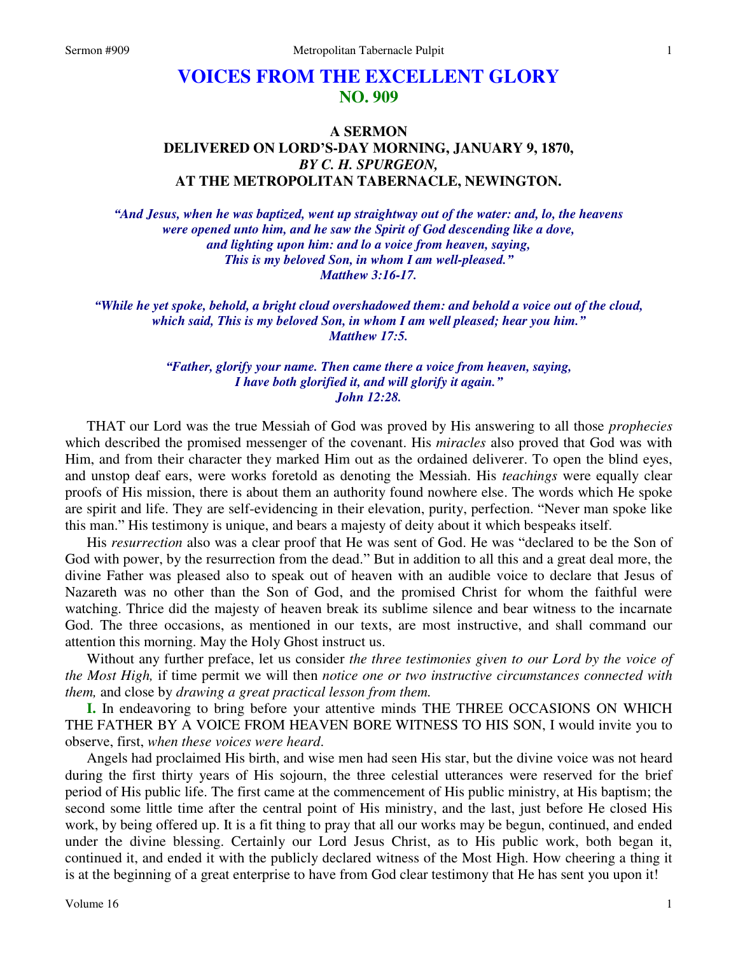## **VOICES FROM THE EXCELLENT GLORY NO. 909**

## **A SERMON DELIVERED ON LORD'S-DAY MORNING, JANUARY 9, 1870,**  *BY C. H. SPURGEON,*  **AT THE METROPOLITAN TABERNACLE, NEWINGTON.**

*"And Jesus, when he was baptized, went up straightway out of the water: and, lo, the heavens were opened unto him, and he saw the Spirit of God descending like a dove, and lighting upon him: and lo a voice from heaven, saying, This is my beloved Son, in whom I am well-pleased." Matthew 3:16-17.* 

*"While he yet spoke, behold, a bright cloud overshadowed them: and behold a voice out of the cloud, which said, This is my beloved Son, in whom I am well pleased; hear you him." Matthew 17:5.* 

> *"Father, glorify your name. Then came there a voice from heaven, saying, I have both glorified it, and will glorify it again." John 12:28.*

THAT our Lord was the true Messiah of God was proved by His answering to all those *prophecies* which described the promised messenger of the covenant. His *miracles* also proved that God was with Him, and from their character they marked Him out as the ordained deliverer. To open the blind eyes, and unstop deaf ears, were works foretold as denoting the Messiah. His *teachings* were equally clear proofs of His mission, there is about them an authority found nowhere else. The words which He spoke are spirit and life. They are self-evidencing in their elevation, purity, perfection. "Never man spoke like this man." His testimony is unique, and bears a majesty of deity about it which bespeaks itself.

His *resurrection* also was a clear proof that He was sent of God. He was "declared to be the Son of God with power, by the resurrection from the dead." But in addition to all this and a great deal more, the divine Father was pleased also to speak out of heaven with an audible voice to declare that Jesus of Nazareth was no other than the Son of God, and the promised Christ for whom the faithful were watching. Thrice did the majesty of heaven break its sublime silence and bear witness to the incarnate God. The three occasions, as mentioned in our texts, are most instructive, and shall command our attention this morning. May the Holy Ghost instruct us.

Without any further preface, let us consider *the three testimonies given to our Lord by the voice of the Most High,* if time permit we will then *notice one or two instructive circumstances connected with them,* and close by *drawing a great practical lesson from them.*

**I.** In endeavoring to bring before your attentive minds THE THREE OCCASIONS ON WHICH THE FATHER BY A VOICE FROM HEAVEN BORE WITNESS TO HIS SON, I would invite you to observe, first, *when these voices were heard*.

Angels had proclaimed His birth, and wise men had seen His star, but the divine voice was not heard during the first thirty years of His sojourn, the three celestial utterances were reserved for the brief period of His public life. The first came at the commencement of His public ministry, at His baptism; the second some little time after the central point of His ministry, and the last, just before He closed His work, by being offered up. It is a fit thing to pray that all our works may be begun, continued, and ended under the divine blessing. Certainly our Lord Jesus Christ, as to His public work, both began it, continued it, and ended it with the publicly declared witness of the Most High. How cheering a thing it is at the beginning of a great enterprise to have from God clear testimony that He has sent you upon it!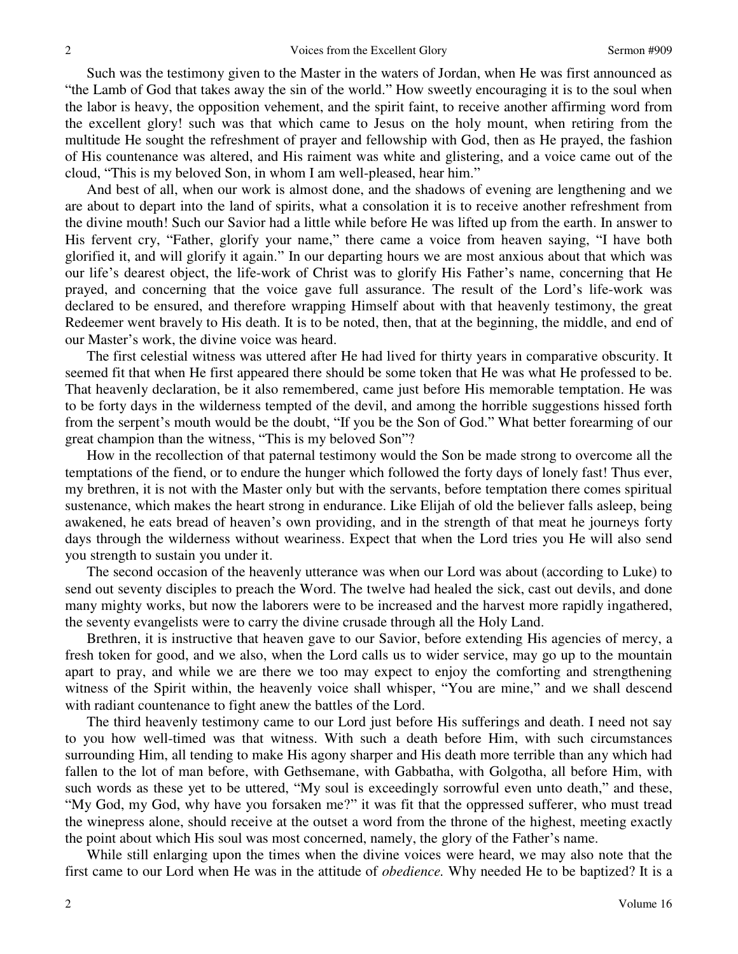Such was the testimony given to the Master in the waters of Jordan, when He was first announced as "the Lamb of God that takes away the sin of the world." How sweetly encouraging it is to the soul when the labor is heavy, the opposition vehement, and the spirit faint, to receive another affirming word from the excellent glory! such was that which came to Jesus on the holy mount, when retiring from the multitude He sought the refreshment of prayer and fellowship with God, then as He prayed, the fashion of His countenance was altered, and His raiment was white and glistering, and a voice came out of the cloud, "This is my beloved Son, in whom I am well-pleased, hear him."

And best of all, when our work is almost done, and the shadows of evening are lengthening and we are about to depart into the land of spirits, what a consolation it is to receive another refreshment from the divine mouth! Such our Savior had a little while before He was lifted up from the earth. In answer to His fervent cry, "Father, glorify your name," there came a voice from heaven saying, "I have both glorified it, and will glorify it again." In our departing hours we are most anxious about that which was our life's dearest object, the life-work of Christ was to glorify His Father's name, concerning that He prayed, and concerning that the voice gave full assurance. The result of the Lord's life-work was declared to be ensured, and therefore wrapping Himself about with that heavenly testimony, the great Redeemer went bravely to His death. It is to be noted, then, that at the beginning, the middle, and end of our Master's work, the divine voice was heard.

The first celestial witness was uttered after He had lived for thirty years in comparative obscurity. It seemed fit that when He first appeared there should be some token that He was what He professed to be. That heavenly declaration, be it also remembered, came just before His memorable temptation. He was to be forty days in the wilderness tempted of the devil, and among the horrible suggestions hissed forth from the serpent's mouth would be the doubt, "If you be the Son of God." What better forearming of our great champion than the witness, "This is my beloved Son"?

How in the recollection of that paternal testimony would the Son be made strong to overcome all the temptations of the fiend, or to endure the hunger which followed the forty days of lonely fast! Thus ever, my brethren, it is not with the Master only but with the servants, before temptation there comes spiritual sustenance, which makes the heart strong in endurance. Like Elijah of old the believer falls asleep, being awakened, he eats bread of heaven's own providing, and in the strength of that meat he journeys forty days through the wilderness without weariness. Expect that when the Lord tries you He will also send you strength to sustain you under it.

The second occasion of the heavenly utterance was when our Lord was about (according to Luke) to send out seventy disciples to preach the Word. The twelve had healed the sick, cast out devils, and done many mighty works, but now the laborers were to be increased and the harvest more rapidly ingathered, the seventy evangelists were to carry the divine crusade through all the Holy Land.

Brethren, it is instructive that heaven gave to our Savior, before extending His agencies of mercy, a fresh token for good, and we also, when the Lord calls us to wider service, may go up to the mountain apart to pray, and while we are there we too may expect to enjoy the comforting and strengthening witness of the Spirit within, the heavenly voice shall whisper, "You are mine," and we shall descend with radiant countenance to fight anew the battles of the Lord.

The third heavenly testimony came to our Lord just before His sufferings and death. I need not say to you how well-timed was that witness. With such a death before Him, with such circumstances surrounding Him, all tending to make His agony sharper and His death more terrible than any which had fallen to the lot of man before, with Gethsemane, with Gabbatha, with Golgotha, all before Him, with such words as these yet to be uttered, "My soul is exceedingly sorrowful even unto death," and these, "My God, my God, why have you forsaken me?" it was fit that the oppressed sufferer, who must tread the winepress alone, should receive at the outset a word from the throne of the highest, meeting exactly the point about which His soul was most concerned, namely, the glory of the Father's name.

While still enlarging upon the times when the divine voices were heard, we may also note that the first came to our Lord when He was in the attitude of *obedience.* Why needed He to be baptized? It is a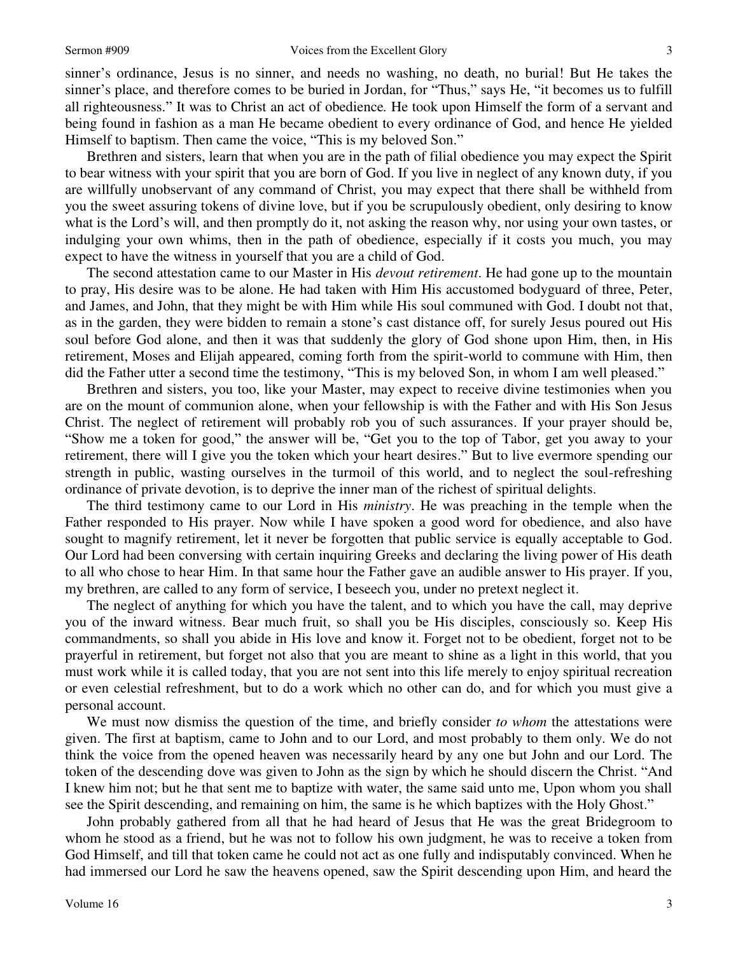sinner's ordinance, Jesus is no sinner, and needs no washing, no death, no burial! But He takes the sinner's place, and therefore comes to be buried in Jordan, for "Thus," says He, "it becomes us to fulfill all righteousness." It was to Christ an act of obedience*.* He took upon Himself the form of a servant and being found in fashion as a man He became obedient to every ordinance of God, and hence He yielded Himself to baptism. Then came the voice, "This is my beloved Son."

Brethren and sisters, learn that when you are in the path of filial obedience you may expect the Spirit to bear witness with your spirit that you are born of God. If you live in neglect of any known duty, if you are willfully unobservant of any command of Christ, you may expect that there shall be withheld from you the sweet assuring tokens of divine love, but if you be scrupulously obedient, only desiring to know what is the Lord's will, and then promptly do it, not asking the reason why, nor using your own tastes, or indulging your own whims, then in the path of obedience, especially if it costs you much, you may expect to have the witness in yourself that you are a child of God.

The second attestation came to our Master in His *devout retirement*. He had gone up to the mountain to pray, His desire was to be alone. He had taken with Him His accustomed bodyguard of three, Peter, and James, and John, that they might be with Him while His soul communed with God. I doubt not that, as in the garden, they were bidden to remain a stone's cast distance off, for surely Jesus poured out His soul before God alone, and then it was that suddenly the glory of God shone upon Him, then, in His retirement, Moses and Elijah appeared, coming forth from the spirit-world to commune with Him, then did the Father utter a second time the testimony, "This is my beloved Son, in whom I am well pleased."

Brethren and sisters, you too, like your Master, may expect to receive divine testimonies when you are on the mount of communion alone, when your fellowship is with the Father and with His Son Jesus Christ. The neglect of retirement will probably rob you of such assurances. If your prayer should be, "Show me a token for good," the answer will be, "Get you to the top of Tabor, get you away to your retirement, there will I give you the token which your heart desires." But to live evermore spending our strength in public, wasting ourselves in the turmoil of this world, and to neglect the soul-refreshing ordinance of private devotion, is to deprive the inner man of the richest of spiritual delights.

The third testimony came to our Lord in His *ministry*. He was preaching in the temple when the Father responded to His prayer. Now while I have spoken a good word for obedience, and also have sought to magnify retirement, let it never be forgotten that public service is equally acceptable to God. Our Lord had been conversing with certain inquiring Greeks and declaring the living power of His death to all who chose to hear Him. In that same hour the Father gave an audible answer to His prayer. If you, my brethren, are called to any form of service, I beseech you, under no pretext neglect it.

The neglect of anything for which you have the talent, and to which you have the call, may deprive you of the inward witness. Bear much fruit, so shall you be His disciples, consciously so. Keep His commandments, so shall you abide in His love and know it. Forget not to be obedient, forget not to be prayerful in retirement, but forget not also that you are meant to shine as a light in this world, that you must work while it is called today, that you are not sent into this life merely to enjoy spiritual recreation or even celestial refreshment, but to do a work which no other can do, and for which you must give a personal account.

We must now dismiss the question of the time, and briefly consider *to whom* the attestations were given. The first at baptism, came to John and to our Lord, and most probably to them only. We do not think the voice from the opened heaven was necessarily heard by any one but John and our Lord. The token of the descending dove was given to John as the sign by which he should discern the Christ. "And I knew him not; but he that sent me to baptize with water, the same said unto me, Upon whom you shall see the Spirit descending, and remaining on him, the same is he which baptizes with the Holy Ghost."

John probably gathered from all that he had heard of Jesus that He was the great Bridegroom to whom he stood as a friend, but he was not to follow his own judgment, he was to receive a token from God Himself, and till that token came he could not act as one fully and indisputably convinced. When he had immersed our Lord he saw the heavens opened, saw the Spirit descending upon Him, and heard the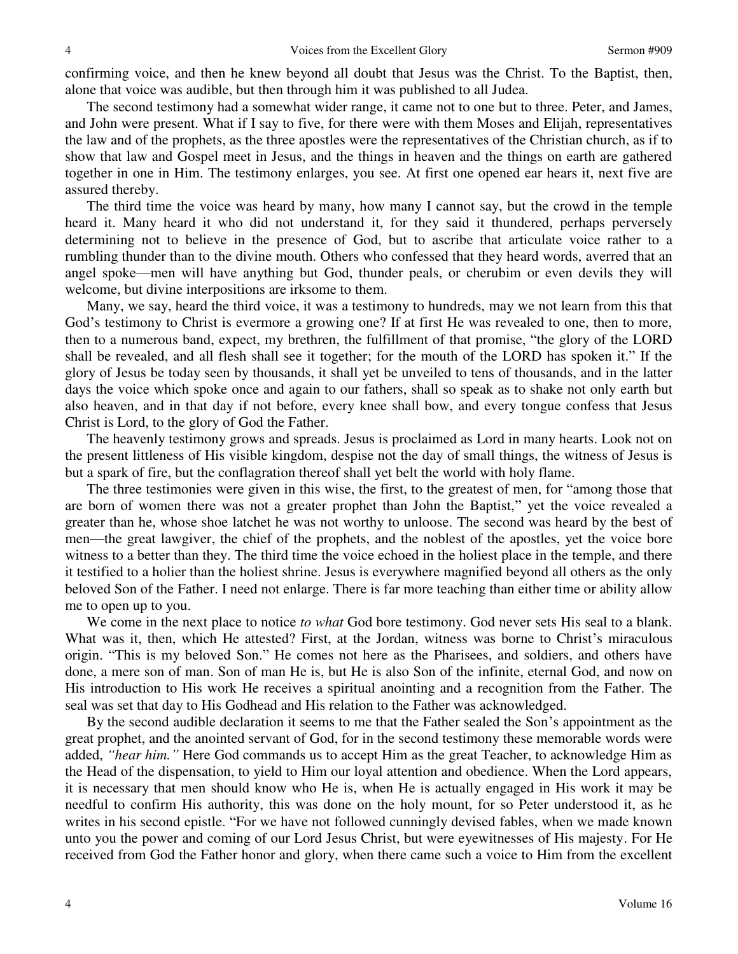confirming voice, and then he knew beyond all doubt that Jesus was the Christ. To the Baptist, then, alone that voice was audible, but then through him it was published to all Judea.

The second testimony had a somewhat wider range, it came not to one but to three. Peter, and James, and John were present. What if I say to five, for there were with them Moses and Elijah, representatives the law and of the prophets, as the three apostles were the representatives of the Christian church, as if to show that law and Gospel meet in Jesus, and the things in heaven and the things on earth are gathered together in one in Him. The testimony enlarges, you see. At first one opened ear hears it, next five are assured thereby.

The third time the voice was heard by many, how many I cannot say, but the crowd in the temple heard it. Many heard it who did not understand it, for they said it thundered, perhaps perversely determining not to believe in the presence of God, but to ascribe that articulate voice rather to a rumbling thunder than to the divine mouth. Others who confessed that they heard words, averred that an angel spoke—men will have anything but God, thunder peals, or cherubim or even devils they will welcome, but divine interpositions are irksome to them.

Many, we say, heard the third voice, it was a testimony to hundreds, may we not learn from this that God's testimony to Christ is evermore a growing one? If at first He was revealed to one, then to more, then to a numerous band, expect, my brethren, the fulfillment of that promise, "the glory of the LORD shall be revealed, and all flesh shall see it together; for the mouth of the LORD has spoken it." If the glory of Jesus be today seen by thousands, it shall yet be unveiled to tens of thousands, and in the latter days the voice which spoke once and again to our fathers, shall so speak as to shake not only earth but also heaven, and in that day if not before, every knee shall bow, and every tongue confess that Jesus Christ is Lord, to the glory of God the Father.

The heavenly testimony grows and spreads. Jesus is proclaimed as Lord in many hearts. Look not on the present littleness of His visible kingdom, despise not the day of small things, the witness of Jesus is but a spark of fire, but the conflagration thereof shall yet belt the world with holy flame.

The three testimonies were given in this wise, the first, to the greatest of men, for "among those that are born of women there was not a greater prophet than John the Baptist," yet the voice revealed a greater than he, whose shoe latchet he was not worthy to unloose. The second was heard by the best of men—the great lawgiver, the chief of the prophets, and the noblest of the apostles, yet the voice bore witness to a better than they. The third time the voice echoed in the holiest place in the temple, and there it testified to a holier than the holiest shrine. Jesus is everywhere magnified beyond all others as the only beloved Son of the Father. I need not enlarge. There is far more teaching than either time or ability allow me to open up to you.

We come in the next place to notice *to what* God bore testimony. God never sets His seal to a blank. What was it, then, which He attested? First, at the Jordan, witness was borne to Christ's miraculous origin. "This is my beloved Son." He comes not here as the Pharisees, and soldiers, and others have done, a mere son of man. Son of man He is, but He is also Son of the infinite, eternal God, and now on His introduction to His work He receives a spiritual anointing and a recognition from the Father. The seal was set that day to His Godhead and His relation to the Father was acknowledged.

By the second audible declaration it seems to me that the Father sealed the Son's appointment as the great prophet, and the anointed servant of God, for in the second testimony these memorable words were added, *"hear him."* Here God commands us to accept Him as the great Teacher, to acknowledge Him as the Head of the dispensation, to yield to Him our loyal attention and obedience. When the Lord appears, it is necessary that men should know who He is, when He is actually engaged in His work it may be needful to confirm His authority, this was done on the holy mount, for so Peter understood it, as he writes in his second epistle. "For we have not followed cunningly devised fables, when we made known unto you the power and coming of our Lord Jesus Christ, but were eyewitnesses of His majesty. For He received from God the Father honor and glory, when there came such a voice to Him from the excellent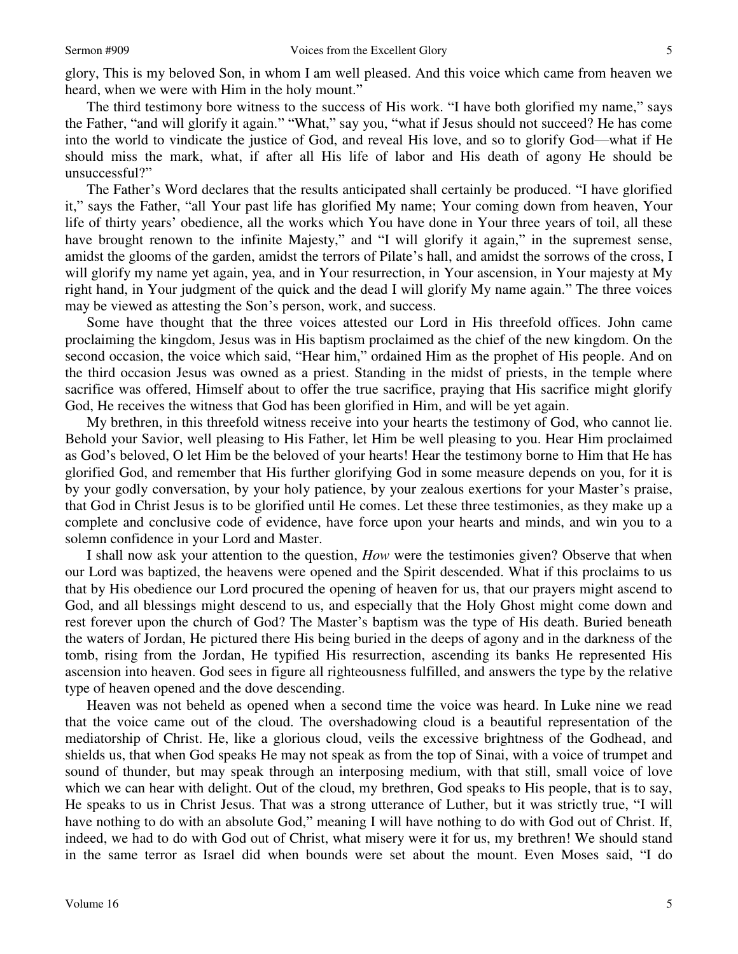glory, This is my beloved Son, in whom I am well pleased. And this voice which came from heaven we heard, when we were with Him in the holy mount."

The third testimony bore witness to the success of His work. "I have both glorified my name," says the Father, "and will glorify it again." "What," say you, "what if Jesus should not succeed? He has come into the world to vindicate the justice of God, and reveal His love, and so to glorify God—what if He should miss the mark, what, if after all His life of labor and His death of agony He should be unsuccessful?"

The Father's Word declares that the results anticipated shall certainly be produced. "I have glorified it," says the Father, "all Your past life has glorified My name; Your coming down from heaven, Your life of thirty years' obedience, all the works which You have done in Your three years of toil, all these have brought renown to the infinite Majesty," and "I will glorify it again," in the supremest sense, amidst the glooms of the garden, amidst the terrors of Pilate's hall, and amidst the sorrows of the cross, I will glorify my name yet again, yea, and in Your resurrection, in Your ascension, in Your majesty at My right hand, in Your judgment of the quick and the dead I will glorify My name again." The three voices may be viewed as attesting the Son's person, work, and success.

Some have thought that the three voices attested our Lord in His threefold offices. John came proclaiming the kingdom, Jesus was in His baptism proclaimed as the chief of the new kingdom. On the second occasion, the voice which said, "Hear him," ordained Him as the prophet of His people. And on the third occasion Jesus was owned as a priest. Standing in the midst of priests, in the temple where sacrifice was offered, Himself about to offer the true sacrifice, praying that His sacrifice might glorify God, He receives the witness that God has been glorified in Him, and will be yet again.

My brethren, in this threefold witness receive into your hearts the testimony of God, who cannot lie. Behold your Savior, well pleasing to His Father, let Him be well pleasing to you. Hear Him proclaimed as God's beloved, O let Him be the beloved of your hearts! Hear the testimony borne to Him that He has glorified God, and remember that His further glorifying God in some measure depends on you, for it is by your godly conversation, by your holy patience, by your zealous exertions for your Master's praise, that God in Christ Jesus is to be glorified until He comes. Let these three testimonies, as they make up a complete and conclusive code of evidence, have force upon your hearts and minds, and win you to a solemn confidence in your Lord and Master.

I shall now ask your attention to the question, *How* were the testimonies given? Observe that when our Lord was baptized, the heavens were opened and the Spirit descended. What if this proclaims to us that by His obedience our Lord procured the opening of heaven for us, that our prayers might ascend to God, and all blessings might descend to us, and especially that the Holy Ghost might come down and rest forever upon the church of God? The Master's baptism was the type of His death. Buried beneath the waters of Jordan, He pictured there His being buried in the deeps of agony and in the darkness of the tomb, rising from the Jordan, He typified His resurrection, ascending its banks He represented His ascension into heaven. God sees in figure all righteousness fulfilled, and answers the type by the relative type of heaven opened and the dove descending.

Heaven was not beheld as opened when a second time the voice was heard. In Luke nine we read that the voice came out of the cloud. The overshadowing cloud is a beautiful representation of the mediatorship of Christ. He, like a glorious cloud, veils the excessive brightness of the Godhead, and shields us, that when God speaks He may not speak as from the top of Sinai, with a voice of trumpet and sound of thunder, but may speak through an interposing medium, with that still, small voice of love which we can hear with delight. Out of the cloud, my brethren, God speaks to His people, that is to say, He speaks to us in Christ Jesus. That was a strong utterance of Luther, but it was strictly true, "I will have nothing to do with an absolute God," meaning I will have nothing to do with God out of Christ. If, indeed, we had to do with God out of Christ, what misery were it for us, my brethren! We should stand in the same terror as Israel did when bounds were set about the mount. Even Moses said, "I do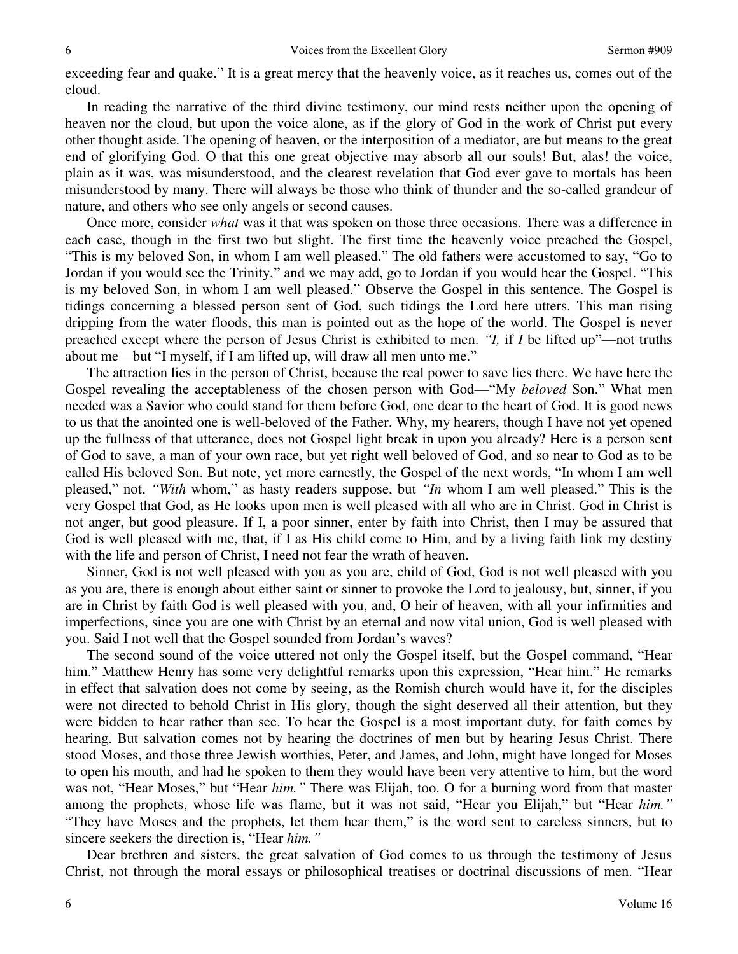exceeding fear and quake." It is a great mercy that the heavenly voice, as it reaches us, comes out of the cloud.

In reading the narrative of the third divine testimony, our mind rests neither upon the opening of heaven nor the cloud, but upon the voice alone, as if the glory of God in the work of Christ put every other thought aside. The opening of heaven, or the interposition of a mediator, are but means to the great end of glorifying God. O that this one great objective may absorb all our souls! But, alas! the voice, plain as it was, was misunderstood, and the clearest revelation that God ever gave to mortals has been misunderstood by many. There will always be those who think of thunder and the so-called grandeur of nature, and others who see only angels or second causes.

Once more, consider *what* was it that was spoken on those three occasions. There was a difference in each case, though in the first two but slight. The first time the heavenly voice preached the Gospel, "This is my beloved Son, in whom I am well pleased." The old fathers were accustomed to say, "Go to Jordan if you would see the Trinity," and we may add, go to Jordan if you would hear the Gospel. "This is my beloved Son, in whom I am well pleased." Observe the Gospel in this sentence. The Gospel is tidings concerning a blessed person sent of God, such tidings the Lord here utters. This man rising dripping from the water floods, this man is pointed out as the hope of the world. The Gospel is never preached except where the person of Jesus Christ is exhibited to men. *"I,* if *I* be lifted up"—not truths about me—but "I myself, if I am lifted up, will draw all men unto me."

The attraction lies in the person of Christ, because the real power to save lies there. We have here the Gospel revealing the acceptableness of the chosen person with God—"My *beloved* Son." What men needed was a Savior who could stand for them before God, one dear to the heart of God. It is good news to us that the anointed one is well-beloved of the Father. Why, my hearers, though I have not yet opened up the fullness of that utterance, does not Gospel light break in upon you already? Here is a person sent of God to save, a man of your own race, but yet right well beloved of God, and so near to God as to be called His beloved Son. But note, yet more earnestly, the Gospel of the next words, "In whom I am well pleased," not, *"With* whom," as hasty readers suppose, but *"In* whom I am well pleased." This is the very Gospel that God, as He looks upon men is well pleased with all who are in Christ. God in Christ is not anger, but good pleasure. If I, a poor sinner, enter by faith into Christ, then I may be assured that God is well pleased with me, that, if I as His child come to Him, and by a living faith link my destiny with the life and person of Christ, I need not fear the wrath of heaven.

Sinner, God is not well pleased with you as you are, child of God, God is not well pleased with you as you are, there is enough about either saint or sinner to provoke the Lord to jealousy, but, sinner, if you are in Christ by faith God is well pleased with you, and, O heir of heaven, with all your infirmities and imperfections, since you are one with Christ by an eternal and now vital union, God is well pleased with you. Said I not well that the Gospel sounded from Jordan's waves?

The second sound of the voice uttered not only the Gospel itself, but the Gospel command, "Hear him." Matthew Henry has some very delightful remarks upon this expression, "Hear him." He remarks in effect that salvation does not come by seeing, as the Romish church would have it, for the disciples were not directed to behold Christ in His glory, though the sight deserved all their attention, but they were bidden to hear rather than see. To hear the Gospel is a most important duty, for faith comes by hearing. But salvation comes not by hearing the doctrines of men but by hearing Jesus Christ. There stood Moses, and those three Jewish worthies, Peter, and James, and John, might have longed for Moses to open his mouth, and had he spoken to them they would have been very attentive to him, but the word was not, "Hear Moses," but "Hear *him."* There was Elijah, too. O for a burning word from that master among the prophets, whose life was flame, but it was not said, "Hear you Elijah," but "Hear *him."* "They have Moses and the prophets, let them hear them," is the word sent to careless sinners, but to sincere seekers the direction is, "Hear *him."*

Dear brethren and sisters, the great salvation of God comes to us through the testimony of Jesus Christ, not through the moral essays or philosophical treatises or doctrinal discussions of men. "Hear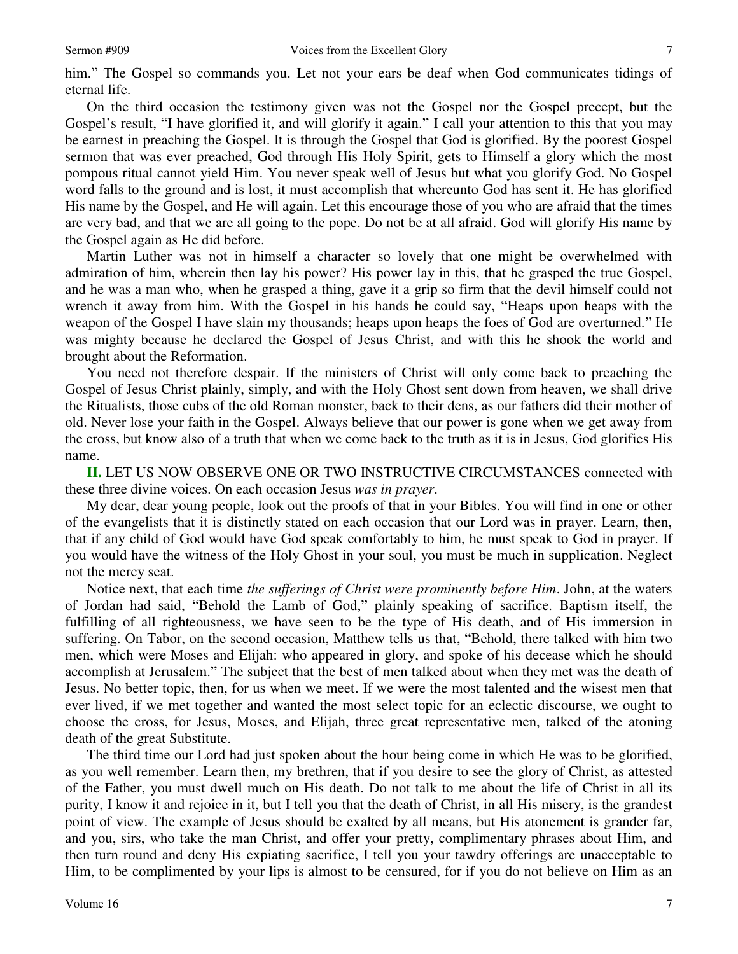him." The Gospel so commands you. Let not your ears be deaf when God communicates tidings of eternal life.

On the third occasion the testimony given was not the Gospel nor the Gospel precept, but the Gospel's result, "I have glorified it, and will glorify it again." I call your attention to this that you may be earnest in preaching the Gospel. It is through the Gospel that God is glorified. By the poorest Gospel sermon that was ever preached, God through His Holy Spirit, gets to Himself a glory which the most pompous ritual cannot yield Him. You never speak well of Jesus but what you glorify God. No Gospel word falls to the ground and is lost, it must accomplish that whereunto God has sent it. He has glorified His name by the Gospel, and He will again. Let this encourage those of you who are afraid that the times are very bad, and that we are all going to the pope. Do not be at all afraid. God will glorify His name by the Gospel again as He did before.

Martin Luther was not in himself a character so lovely that one might be overwhelmed with admiration of him, wherein then lay his power? His power lay in this, that he grasped the true Gospel, and he was a man who, when he grasped a thing, gave it a grip so firm that the devil himself could not wrench it away from him. With the Gospel in his hands he could say, "Heaps upon heaps with the weapon of the Gospel I have slain my thousands; heaps upon heaps the foes of God are overturned." He was mighty because he declared the Gospel of Jesus Christ, and with this he shook the world and brought about the Reformation.

You need not therefore despair. If the ministers of Christ will only come back to preaching the Gospel of Jesus Christ plainly, simply, and with the Holy Ghost sent down from heaven, we shall drive the Ritualists, those cubs of the old Roman monster, back to their dens, as our fathers did their mother of old. Never lose your faith in the Gospel. Always believe that our power is gone when we get away from the cross, but know also of a truth that when we come back to the truth as it is in Jesus, God glorifies His name.

**II.** LET US NOW OBSERVE ONE OR TWO INSTRUCTIVE CIRCUMSTANCES connected with these three divine voices. On each occasion Jesus *was in prayer*.

My dear, dear young people, look out the proofs of that in your Bibles. You will find in one or other of the evangelists that it is distinctly stated on each occasion that our Lord was in prayer. Learn, then, that if any child of God would have God speak comfortably to him, he must speak to God in prayer. If you would have the witness of the Holy Ghost in your soul, you must be much in supplication. Neglect not the mercy seat.

Notice next, that each time *the sufferings of Christ were prominently before Him*. John, at the waters of Jordan had said, "Behold the Lamb of God," plainly speaking of sacrifice. Baptism itself, the fulfilling of all righteousness, we have seen to be the type of His death, and of His immersion in suffering. On Tabor, on the second occasion, Matthew tells us that, "Behold, there talked with him two men, which were Moses and Elijah: who appeared in glory, and spoke of his decease which he should accomplish at Jerusalem." The subject that the best of men talked about when they met was the death of Jesus. No better topic, then, for us when we meet. If we were the most talented and the wisest men that ever lived, if we met together and wanted the most select topic for an eclectic discourse, we ought to choose the cross, for Jesus, Moses, and Elijah, three great representative men, talked of the atoning death of the great Substitute.

The third time our Lord had just spoken about the hour being come in which He was to be glorified, as you well remember. Learn then, my brethren, that if you desire to see the glory of Christ, as attested of the Father, you must dwell much on His death. Do not talk to me about the life of Christ in all its purity, I know it and rejoice in it, but I tell you that the death of Christ, in all His misery, is the grandest point of view. The example of Jesus should be exalted by all means, but His atonement is grander far, and you, sirs, who take the man Christ, and offer your pretty, complimentary phrases about Him, and then turn round and deny His expiating sacrifice, I tell you your tawdry offerings are unacceptable to Him, to be complimented by your lips is almost to be censured, for if you do not believe on Him as an